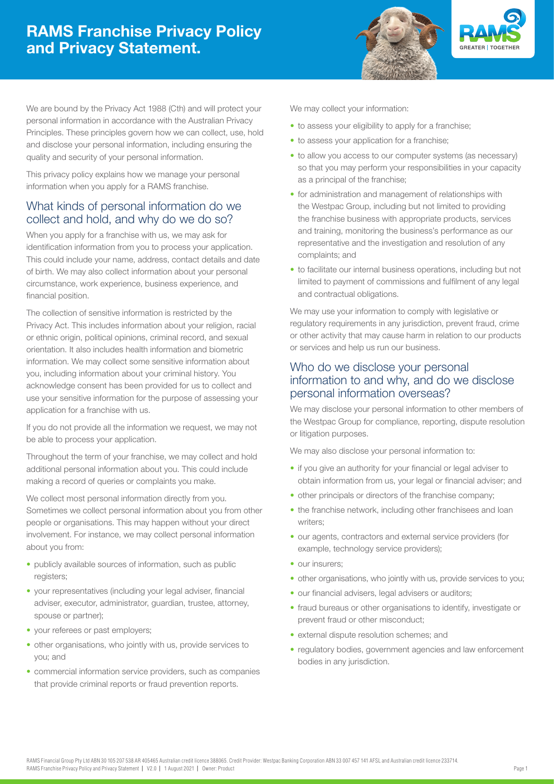# RAMS Franchise Privacy Policy and Privacy Statement.





We are bound by the Privacy Act 1988 (Cth) and will protect your personal information in accordance with the Australian Privacy Principles. These principles govern how we can collect, use, hold and disclose your personal information, including ensuring the quality and security of your personal information.

This privacy policy explains how we manage your personal information when you apply for a RAMS franchise.

## What kinds of personal information do we collect and hold, and why do we do so?

When you apply for a franchise with us, we may ask for identification information from you to process your application. This could include your name, address, contact details and date of birth. We may also collect information about your personal circumstance, work experience, business experience, and financial position.

The collection of sensitive information is restricted by the Privacy Act. This includes information about your religion, racial or ethnic origin, political opinions, criminal record, and sexual orientation. It also includes health information and biometric information. We may collect some sensitive information about you, including information about your criminal history. You acknowledge consent has been provided for us to collect and use your sensitive information for the purpose of assessing your application for a franchise with us.

If you do not provide all the information we request, we may not be able to process your application.

Throughout the term of your franchise, we may collect and hold additional personal information about you. This could include making a record of queries or complaints you make.

We collect most personal information directly from you. Sometimes we collect personal information about you from other people or organisations. This may happen without your direct involvement. For instance, we may collect personal information about you from:

- publicly available sources of information, such as public registers;
- your representatives (including your legal adviser, financial adviser, executor, administrator, guardian, trustee, attorney, spouse or partner);
- your referees or past employers;
- other organisations, who jointly with us, provide services to you; and
- commercial information service providers, such as companies that provide criminal reports or fraud prevention reports.

We may collect your information:

- to assess your eligibility to apply for a franchise;
- to assess your application for a franchise;
- to allow you access to our computer systems (as necessary) so that you may perform your responsibilities in your capacity as a principal of the franchise;
- for administration and management of relationships with the Westpac Group, including but not limited to providing the franchise business with appropriate products, services and training, monitoring the business's performance as our representative and the investigation and resolution of any complaints; and
- to facilitate our internal business operations, including but not limited to payment of commissions and fulfilment of any legal and contractual obligations.

We may use your information to comply with legislative or regulatory requirements in any jurisdiction, prevent fraud, crime or other activity that may cause harm in relation to our products or services and help us run our business.

### Who do we disclose your personal information to and why, and do we disclose personal information overseas?

We may disclose your personal information to other members of the Westpac Group for compliance, reporting, dispute resolution or litigation purposes.

We may also disclose your personal information to:

- if you give an authority for your financial or legal adviser to obtain information from us, your legal or financial adviser; and
- other principals or directors of the franchise company;
- the franchise network, including other franchisees and loan writers;
- our agents, contractors and external service providers (for example, technology service providers);
- our insurers;
- other organisations, who jointly with us, provide services to you;
- our financial advisers, legal advisers or auditors;
- fraud bureaus or other organisations to identify, investigate or prevent fraud or other misconduct;
- external dispute resolution schemes; and
- regulatory bodies, government agencies and law enforcement bodies in any jurisdiction.